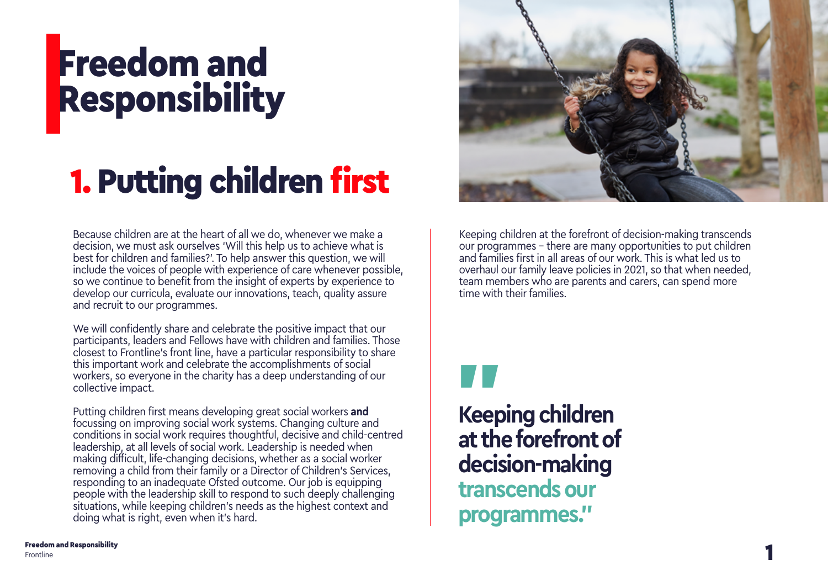## Freedom and Responsibility

## 1. Putting children first

Because children are at the heart of all we do, whenever we make a decision, we must ask ourselves 'Will this help us to achieve what is best for children and families?'. To help answer this question, we will include the voices of people with experience of care whenever possible, so we continue to benefit from the insight of experts by experience to develop our curricula, evaluate our innovations, teach, quality assure and recruit to our programmes.

We will confidently share and celebrate the positive impact that our participants, leaders and Fellows have with children and families. Those closest to Frontline's front line, have a particular responsibility to share this important work and celebrate the accomplishments of social workers, so everyone in the charity has a deep understanding of our collective impact.

Putting children first means developing great social workers **and** focussing on improving social work systems. Changing culture and conditions in social work requires thoughtful, decisive and child-centred leadership, at all levels of social work. Leadership is needed when making difficult, life-changing decisions, whether as a social worker removing a child from their family or a Director of Children's Services, responding to an inadequate Ofsted outcome. Our job is equipping people with the leadership skill to respond to such deeply challenging situations, while keeping children's needs as the highest context and doing what is right, even when it's hard.



Keeping children at the forefront of decision-making transcends our programmes – there are many opportunities to put children and families first in all areas of our work. This is what led us to overhaul our family leave policies in 2021, so that when needed, team members who are parents and carers, can spend more time with their families.



**Keeping children at the forefront of decision-making transcends our programmes."**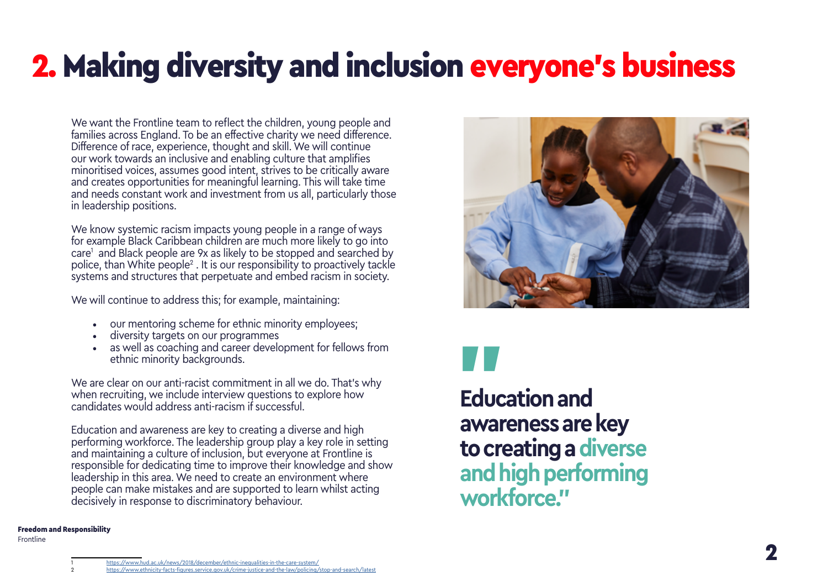## <span id="page-1-0"></span>2. Making diversity and inclusion everyone's business

We want the Frontline team to reflect the children, young people and families across England. To be an effective charity we need difference. Difference of race, experience, thought and skill. We will continue our work towards an inclusive and enabling culture that amplifies minoritised voices, assumes good intent, strives to be critically aware and creates opportunities for meaningful learning. This will take time and needs constant work and investment from us all, particularly those in leadership positions.

We know systemic racism impacts young people in a range of ways for example Black Caribbean children are much more likely to go into care1 and Black people are 9x as likely to be stopped and searched by police, than White people<sup>2</sup> . It is our responsibility to proactively tackle systems and structures that perpetuate and embed racism in society.

We will continue to address this; for example, maintaining:

- our mentoring scheme for ethnic minority employees;
- diversity targets on our programmes
- as well as coaching and career development for fellows from ethnic minority backgrounds.

We are clear on our anti-racist commitment in all we do. That's why when recruiting, we include interview questions to explore how candidates would address anti-racism if successful.

Education and awareness are key to creating a diverse and high performing workforce. The leadership group play a key role in setting and maintaining a culture of inclusion, but everyone at Frontline is responsible for dedicating time to improve their knowledge and show leadership in this area. We need to create an environment where people can make mistakes and are supported to learn whilst acting decisively in response to discriminatory behaviour.

### Freedom and Responsibility

Frontline





**Education and awareness are key to creating a diverse and high performing workforce."**

7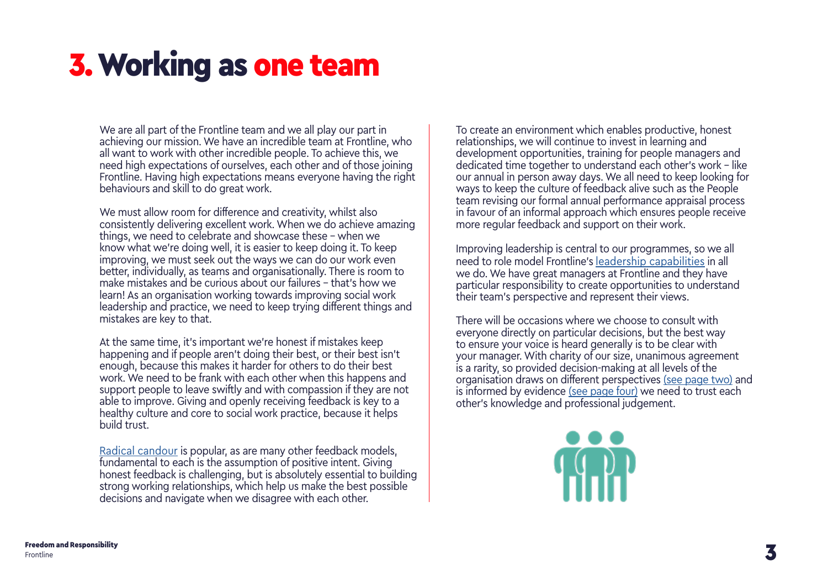### <span id="page-2-0"></span>3. Working as one team

We are all part of the Frontline team and we all play our part in achieving our mission. We have an incredible team at Frontline, who all want to work with other incredible people. To achieve this, we need high expectations of ourselves, each other and of those joining Frontline. Having high expectations means everyone having the right behaviours and skill to do great work.

We must allow room for difference and creativity, whilst also consistently delivering excellent work. When we do achieve amazing things, we need to celebrate and showcase these - when we know what we're doing well, it is easier to keep doing it. To keep improving, we must seek out the ways we can do our work even better, individually, as teams and organisationally. There is room to make mistakes and be curious about our failures – that's how we learn! As an organisation working towards improving social work leadership and practice, we need to keep trying different things and mistakes are key to that.

At the same time, it's important we're honest if mistakes keep happening and if people aren't doing their best, or their best isn't enough, because this makes it harder for others to do their best work. We need to be frank with each other when this happens and support people to leave swiftly and with compassion if they are not able to improve. Giving and openly receiving feedback is key to a healthy culture and core to social work practice, because it helps build trust.

[Radical candour](https://www.radicalcandor.com/our-approach/) is popular, as are many other feedback models, fundamental to each is the assumption of positive intent. Giving honest feedback is challenging, but is absolutely essential to building strong working relationships, which help us make the best possible decisions and navigate when we disagree with each other.

To create an environment which enables productive, honest relationships, we will continue to invest in learning and development opportunities, training for people managers and dedicated time together to understand each other's work – like our annual in person away days. We all need to keep looking for ways to keep the culture of feedback alive such as the People team revising our formal annual performance appraisal process in favour of an informal approach which ensures people receive more regular feedback and support on their work.

Improving leadership is central to our programmes, so we all need to role model Frontline's [leadership capabilities](https://thefrontline.org.uk/wp-content/uploads/2017/06/Leadership-Statement-Guide.pdf) in all we do. We have great managers at Frontline and they have particular responsibility to create opportunities to understand their team's perspective and represent their views.

There will be occasions where we choose to consult with everyone directly on particular decisions, but the best way to ensure your voice is heard generally is to be clear with your manager. With charity of our size, unanimous agreement is a rarity, so provided decision-making at all levels of the organisation draws on [different perspectives \(see page two\)](#page-1-0) and is informed by [evidence \(see page four\)](#page-3-0) we need to trust each other's knowledge and professional judgement.

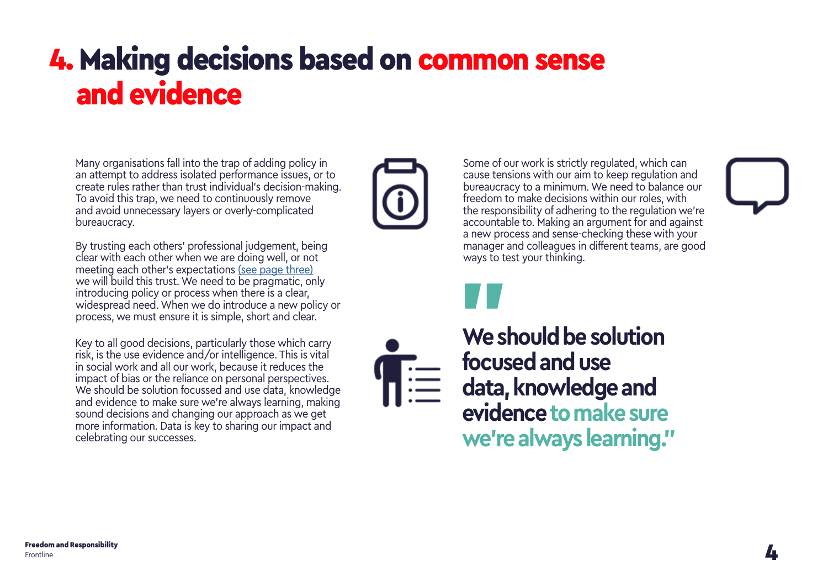### <span id="page-3-0"></span>4. Making decisions based on common sense and evidence

Many organisations fall into the trap of adding policy in an attempt to address isolated performance issues, or to create rules rather than trust individual's decision-making. To avoid this trap, we need to continuously remove and avoid unnecessary layers or overly-complicated bureaucracy.

By trusting each others' professional judgement, being clear with each other when we are doing well, or not meeting each other's [expectations \(see page three\)](#page-2-0) we will build this trust. We need to be pragmatic, only introducing policy or process when there is a clear, widespread need. When we do introduce a new policy or process, we must ensure it is simple, short and clear.

Key to all good decisions, particularly those which carry risk, is the use evidence and/or intelligence. This is vital in social work and all our work, because it reduces the impact of bias or the reliance on personal perspectives. We should be solution focussed and use data, knowledge and evidence to make sure we're always learning, making sound decisions and changing our approach as we get more information. Data is key to sharing our impact and celebrating our successes.



Some of our work is strictly regulated, which can cause tensions with our aim to keep regulation and bureaucracy to a minimum. We need to balance our freedom to make decisions within our roles, with the responsibility of adhering to the regulation we're accountable to. Making an argument for and against a new process and sense-checking these with your manager and colleagues in different teams, are good ways to test your thinking.



**We should be solution focused and use data, knowledge and evidence to make sure we're always learning."** "<br>Wes